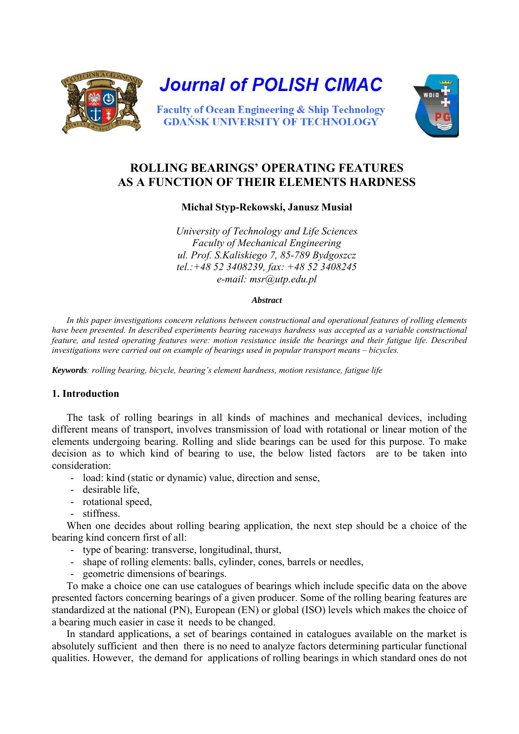

# **ROLLING BEARINGS' OPERATING FEATURES AS A FUNCTION OF THEIR ELEMENTS HARDNESS**

**Michał Styp-Rekowski, Janusz Musiał**

*University of Technology and Life Sciences Faculty of Mechanical Engineering ul. Prof. S.Kaliskiego 7, 85-789 Bydgoszcz tel.:+48 52 3408239, fax: +48 52 3408245 e-mail: [msr@utp.edu.pl](mailto:msr@utp.edu.pl)* 

#### *Abstract*

*In this paper investigations concern relations between constructional and operational features of rolling elements have been presented. In described experiments bearing raceways hardness was accepted as a variable constructional feature, and tested operating features were: motion resistance inside the bearings and their fatigue life. Described investigations were carried out on example of bearings used in popular transport means – bicycles.* 

*Keywords: rolling bearing, bicycle, bearing's element hardness, motion resistance, fatigue life* 

# **1. Introduction**

The task of rolling bearings in all kinds of machines and mechanical devices, including different means of transport, involves transmission of load with rotational or linear motion of the elements undergoing bearing. Rolling and slide bearings can be used for this purpose. To make decision as to which kind of bearing to use, the below listed factors are to be taken into consideration:

- load: kind (static or dynamic) value, direction and sense,
- desirable life,
- rotational speed.
- stiffness.

When one decides about rolling bearing application, the next step should be a choice of the bearing kind concern first of all:

- type of bearing: transverse, longitudinal, thurst,
- shape of rolling elements: balls, cylinder, cones, barrels or needles,
- geometric dimensions of bearings.

To make a choice one can use catalogues of bearings which include specific data on the above presented factors concerning bearings of a given producer. Some of the rolling bearing features are standardized at the national (PN), European (EN) or global (ISO) levels which makes the choice of a bearing much easier in case it needs to be changed.

In standard applications, a set of bearings contained in catalogues available on the market is absolutely sufficient and then there is no need to analyze factors determining particular functional qualities. However, the demand for applications of rolling bearings in which standard ones do not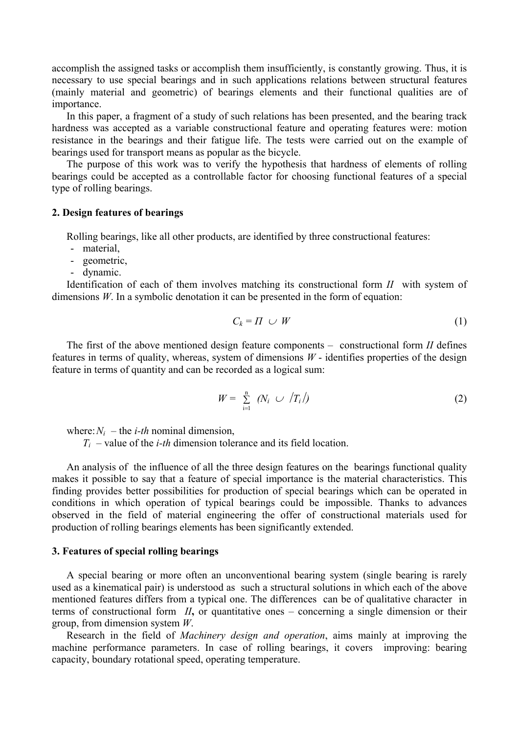accomplish the assigned tasks or accomplish them insufficiently, is constantly growing. Thus, it is necessary to use special bearings and in such applications relations between structural features (mainly material and geometric) of bearings elements and their functional qualities are of importance.

In this paper, a fragment of a study of such relations has been presented, and the bearing track hardness was accepted as a variable constructional feature and operating features were: motion resistance in the bearings and their fatigue life. The tests were carried out on the example of bearings used for transport means as popular as the bicycle.

The purpose of this work was to verify the hypothesis that hardness of elements of rolling bearings could be accepted as a controllable factor for choosing functional features of a special type of rolling bearings.

## **2. Design features of bearings**

Rolling bearings, like all other products, are identified by three constructional features:

- material,
- geometric,
- dynamic.

Identification of each of them involves matching its constructional form *II* with system of dimensions *W*. In a symbolic denotation it can be presented in the form of equation:

$$
C_k = \Pi \cup W \tag{1}
$$

The first of the above mentioned design feature components – constructional form *II* defines features in terms of quality, whereas, system of dimensions  $W$  - identifies properties of the design feature in terms of quantity and can be recorded as a logical sum:

$$
W = \sum_{i=1}^{n} (N_i \cup /T_i))
$$
 (2)

where:  $N_i$  – the *i-th* nominal dimension,

*Ti* – value of the *i-th* dimension tolerance and its field location.

An analysis of the influence of all the three design features on the bearings functional quality makes it possible to say that a feature of special importance is the material characteristics. This finding provides better possibilities for production of special bearings which can be operated in conditions in which operation of typical bearings could be impossible. Thanks to advances observed in the field of material engineering the offer of constructional materials used for production of rolling bearings elements has been significantly extended.

#### **3. Features of special rolling bearings**

A special bearing or more often an unconventional bearing system (single bearing is rarely used as a kinematical pair) is understood as such a structural solutions in which each of the above mentioned features differs from a typical one. The differences can be of qualitative character in terms of constructional form *II***,** or quantitative ones – concerning a single dimension or their group, from dimension system *W*.

Research in the field of *Machinery design and operation*, aims mainly at improving the machine performance parameters. In case of rolling bearings, it covers improving: bearing capacity, boundary rotational speed, operating temperature.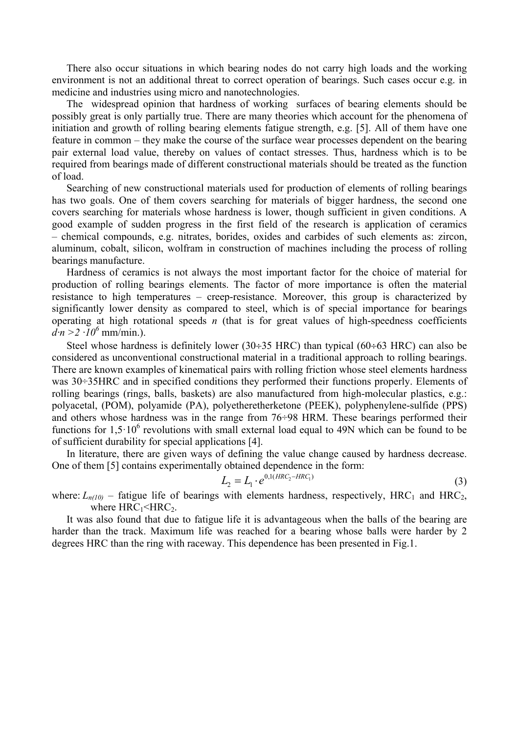There also occur situations in which bearing nodes do not carry high loads and the working environment is not an additional threat to correct operation of bearings. Such cases occur e.g. in medicine and industries using micro and nanotechnologies.

The widespread opinion that hardness of working surfaces of bearing elements should be possibly great is only partially true. There are many theories which account for the phenomena of initiation and growth of rolling bearing elements fatigue strength, e.g. [5]. All of them have one feature in common – they make the course of the surface wear processes dependent on the bearing pair external load value, thereby on values of contact stresses. Thus, hardness which is to be required from bearings made of different constructional materials should be treated as the function of load.

Searching of new constructional materials used for production of elements of rolling bearings has two goals. One of them covers searching for materials of bigger hardness, the second one covers searching for materials whose hardness is lower, though sufficient in given conditions. A good example of sudden progress in the first field of the research is application of ceramics – chemical compounds, e.g. nitrates, borides, oxides and carbides of such elements as: zircon, aluminum, cobalt, silicon, wolfram in construction of machines including the process of rolling bearings manufacture.

Hardness of ceramics is not always the most important factor for the choice of material for production of rolling bearings elements. The factor of more importance is often the material resistance to high temperatures – creep-resistance. Moreover, this group is characterized by significantly lower density as compared to steel, which is of special importance for bearings operating at high rotational speeds  $n$  (that is for great values of high-speedness coefficients  $d \cdot n > 2 \cdot 10^6$  mm/min.).

Steel whose hardness is definitely lower (30÷35 HRC) than typical (60÷63 HRC) can also be considered as unconventional constructional material in a traditional approach to rolling bearings. There are known examples of kinematical pairs with rolling friction whose steel elements hardness was 30÷35HRC and in specified conditions they performed their functions properly. Elements of rolling bearings (rings, balls, baskets) are also manufactured from high-molecular plastics, e.g.: polyacetal, (POM), polyamide (PA), polyetheretherketone (PEEK), polyphenylene-sulfide (PPS) and others whose hardness was in the range from 76÷98 HRM. These bearings performed their functions for  $1,5 \cdot 10^6$  revolutions with small external load equal to 49N which can be found to be of sufficient durability for special applications [4].

In literature, there are given ways of defining the value change caused by hardness decrease. One of them [5] contains experimentally obtained dependence in the form:

$$
L_2 = L_1 \cdot e^{0,1(HRC_2 - HRC_1)}
$$
\n(3)

where:  $L_{n(10)}$  – fatigue life of bearings with elements hardness, respectively, HRC<sub>1</sub> and HRC<sub>2</sub>, where  $HRC<sub>1</sub>< HRC<sub>2</sub>$ .

It was also found that due to fatigue life it is advantageous when the balls of the bearing are harder than the track. Maximum life was reached for a bearing whose balls were harder by 2 degrees HRC than the ring with raceway. This dependence has been presented in Fig.1.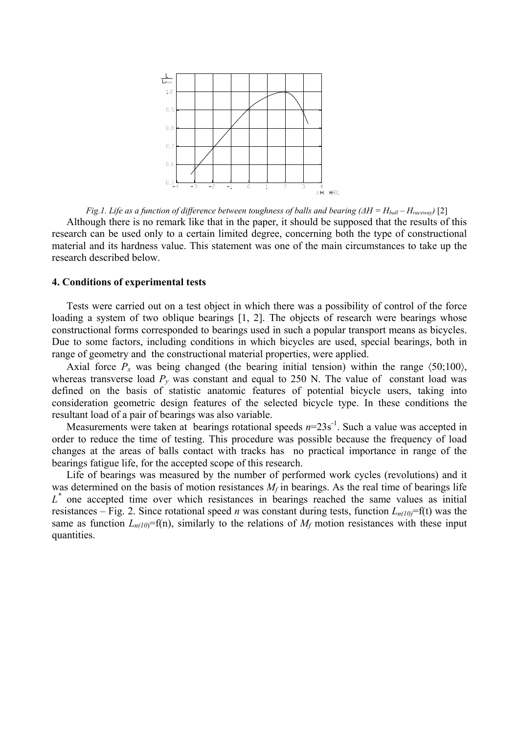

*Fig.1. Life as a function of difference between toughness of balls and bearing (* $\Delta H = H_{ball} - H_{raceway}$ *)* [2] Although there is no remark like that in the paper, it should be supposed that the results of this research can be used only to a certain limited degree, concerning both the type of constructional material and its hardness value. This statement was one of the main circumstances to take up the research described below.

## **4. Conditions of experimental tests**

Tests were carried out on a test object in which there was a possibility of control of the force loading a system of two oblique bearings [1, 2]. The objects of research were bearings whose constructional forms corresponded to bearings used in such a popular transport means as bicycles. Due to some factors, including conditions in which bicycles are used, special bearings, both in range of geometry and the constructional material properties, were applied.

Axial force  $P_x$  was being changed (the bearing initial tension) within the range  $\langle 50;100 \rangle$ , whereas transverse load  $P_y$  was constant and equal to 250 N. The value of constant load was defined on the basis of statistic anatomic features of potential bicycle users, taking into consideration geometric design features of the selected bicycle type. In these conditions the resultant load of a pair of bearings was also variable.

Measurements were taken at bearings rotational speeds  $n=23s^{-1}$ . Such a value was accepted in order to reduce the time of testing. This procedure was possible because the frequency of load changes at the areas of balls contact with tracks has no practical importance in range of the bearings fatigue life, for the accepted scope of this research.

Life of bearings was measured by the number of performed work cycles (revolutions) and it was determined on the basis of motion resistances  $M_f$  in bearings. As the real time of bearings life  $L^*$  one accepted time over which resistances in bearings reached the same values as initial resistances – Fig. 2. Since rotational speed *n* was constant during tests, function  $L_{n(10)} = f(t)$  was the same as function  $L_{n(l0)}=f(n)$ , similarly to the relations of  $M_f$  motion resistances with these input quantities.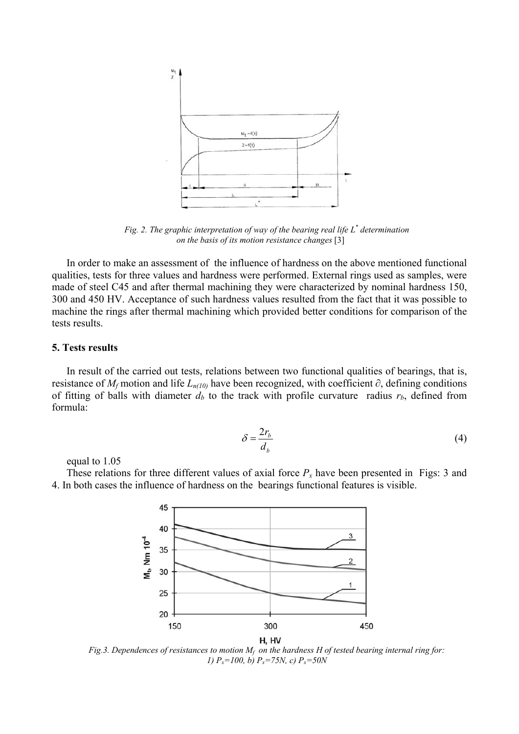

*Fig. 2. The graphic interpretation of way of the bearing real life L\* determination on the basis of its motion resistance changes* [3]

In order to make an assessment of the influence of hardness on the above mentioned functional qualities, tests for three values and hardness were performed. External rings used as samples, were made of steel C45 and after thermal machining they were characterized by nominal hardness 150, 300 and 450 HV. Acceptance of such hardness values resulted from the fact that it was possible to machine the rings after thermal machining which provided better conditions for comparison of the tests results.

#### **5. Tests results**

In result of the carried out tests, relations between two functional qualities of bearings, that is, resistance of  $M_f$  motion and life  $L_{n(10)}$  have been recognized, with coefficient ∂, defining conditions of fitting of balls with diameter  $d_b$  to the track with profile curvature radius  $r_b$ , defined from formula:

equal to 1.05

These relations for three different values of axial force  $P_x$  have been presented in Figs: 3 and 4. In both cases the influence of hardness on the bearings functional features is visible.

*b b d*

 $\delta = \frac{2r_b}{\lambda}$  (4)



*Fig.3. Dependences of resistances to motion*  $M_f$  *on the hardness H of tested bearing internal ring for: 1) Px=100, b) Px=75N, c) Px=50N*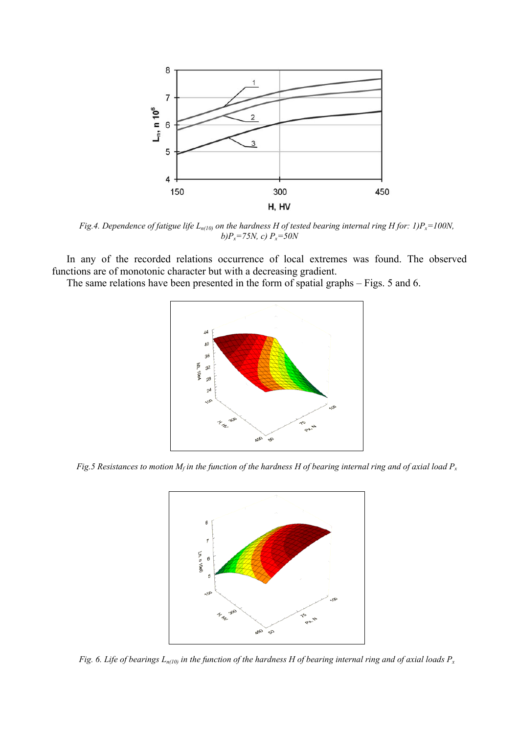

*Fig.4. Dependence of fatigue life*  $L_{n(10)}$  *on the hardness H of tested bearing internal ring H for: 1)P<sub>x</sub>=100N,*  $b)P_x = 75N$ , c)  $P_x = 50N$ 

In any of the recorded relations occurrence of local extremes was found. The observed functions are of monotonic character but with a decreasing gradient.

The same relations have been presented in the form of spatial graphs – Figs. 5 and 6.



*Fig.5 Resistances to motion*  $M_f$  *in the function of the hardness H of bearing internal ring and of axial load*  $P_x$ 



*Fig. 6. Life of bearings Ln(10) in the function of the hardness H of bearing internal ring and of axial loads Px*